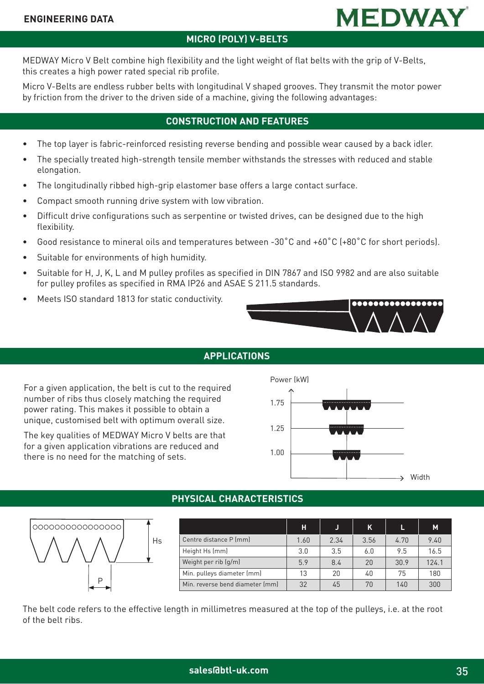

### **MICRO (POLY) V-BELTS**

MEDWAY Micro V Belt combine high flexibility and the light weight of flat belts with the grip of V-Belts, this creates a high power rated special rib profile.

Micro V-Belts are endless rubber belts with longitudinal V shaped grooves. They transmit the motor power by friction from the driver to the driven side of a machine, giving the following advantages:

### **CONSTRUCTION AND FEATURES**

- The top layer is fabric-reinforced resisting reverse bending and possible wear caused by a back idler.
- The specially treated high-strength tensile member withstands the stresses with reduced and stable elongation.
- The longitudinally ribbed high-grip elastomer base offers a large contact surface.
- Compact smooth running drive system with low vibration.
- Difficult drive configurations such as serpentine or twisted drives, can be designed due to the high flexibility.
- Good resistance to mineral oils and temperatures between -30˚C and +60˚C (+80˚C for short periods).
- Suitable for environments of high humidity.
- Suitable for H, J, K, L and M pulley profiles as specified in DIN 7867 and ISO 9982 and are also suitable for pulley profiles as specified in RMA IP26 and ASAE S 211.5 standards.
- Meets ISO standard 1813 for static conductivity.



### **APPLICATIONS**

For a given application, the belt is cut to the required number of ribs thus closely matching the required power rating. This makes it possible to obtain a unique, customised belt with optimum overall size.

The key qualities of MEDWAY Micro V belts are that for a given application vibrations are reduced and there is no need for the matching of sets.



### **PHYSICAL CHARACTERISTICS**



|                                 | н    |      | Κ    |      | M     |
|---------------------------------|------|------|------|------|-------|
| Centre distance P (mm)          | 1.60 | 2.34 | 3.56 | 4.70 | 9.40  |
| Height Hs (mm)                  | 3.0  | 3.5  | 6.0  | 9.5  | 16.5  |
| Weight per rib (g/m)            | 5.9  | 8.4  | 20   | 30.9 | 124.1 |
| Min. pulleys diameter (mm)      | 13   | 20   | 40   | 75   | 180   |
| Min. reverse bend diameter (mm) | 32   | 45   | 70   | 140  | 300   |

The belt code refers to the effective length in millimetres measured at the top of the pulleys, i.e. at the root of the belt ribs.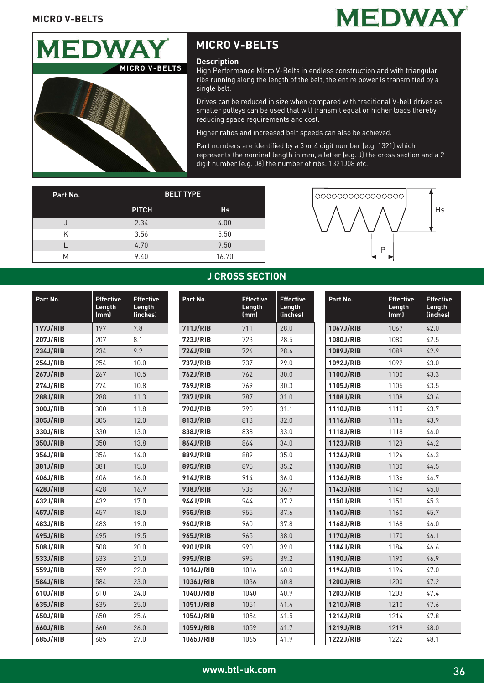## **MEDWAY**



## **MICRO V-BELTS**

#### **Description**

High Performance Micro V-Belts in endless construction and with triangular ribs running along the length of the belt, the entire power is transmitted by a single belt.

Drives can be reduced in size when compared with traditional V-belt drives as smaller pulleys can be used that will transmit equal or higher loads thereby reducing space requirements and cost.

Higher ratios and increased belt speeds can also be achieved.

Part numbers are identified by a 3 or 4 digit number (e.g. 1321) which represents the nominal length in mm, a letter (e.g. J) the cross section and a 2 digit number (e.g. 08) the number of ribs. 1321J08 etc.

| Part No. | <b>BELT TYPE</b> |           |
|----------|------------------|-----------|
|          | <b>PITCH</b>     | <b>Hs</b> |
|          | 2.34             | 4.00      |
|          | 3.56             | 5.50      |
|          | 4.70             | 9.50      |
| Μ        | 9.40             | 16.70     |



| Part No.        | <b>Effective</b><br>Length<br>(mm) | <b>Effective</b><br>Length<br>(inches) |
|-----------------|------------------------------------|----------------------------------------|
| <b>197J/RIB</b> | 197                                | 7.8                                    |
| <b>207J/RIB</b> | 207                                | 8.1                                    |
| 234J/RIB        | 234                                | 9.2                                    |
| 254J/RIB        | 254                                | 10.0                                   |
| <b>267J/RIB</b> | 267                                | 10.5                                   |
| <b>274J/RIB</b> | 274                                | 10.8                                   |
| <b>288J/RIB</b> | 288                                | 11.3                                   |
| 300J/RIB        | 300                                | 11.8                                   |
| 305J/RIB        | 305                                | 12.0                                   |
| 330J/RIB        | 330                                | 13.0                                   |
| 350J/RIB        | 350                                | 13.8                                   |
| 356J/RIB        | 356                                | 14.0                                   |
| 381J/RIB        | 381                                | 15.0                                   |
| 406J/RIB        | 406                                | 16.0                                   |
| <b>428J/RIB</b> | 428                                | 16.9                                   |
| <b>432J/RIB</b> | 432                                | 17.0                                   |
| <b>457J/RIB</b> | 457                                | 18.0                                   |
| 483J/RIB        | 483                                | 19.0                                   |
| <b>495J/RIB</b> | 495                                | 19.5                                   |
| 508J/RIB        | 508                                | 20.0                                   |
| 533J/RIB        | 533                                | 21.0                                   |
| 559J/RIB        | 559                                | 22.0                                   |
| 584J/RIB        | 584                                | 23.0                                   |
| 610J/RIB        | 610                                | 24.0                                   |
| 635J/RIB        | 635                                | 25.0                                   |
| 650J/RIB        | 650                                | 25.6                                   |
| 660J/RIB        | 660                                | 26.0                                   |
| 685J/RIB        | 685                                | 27.0                                   |

## **J CROSS SECTION**

| Part No.        | <b>Effective</b><br>Length<br>(mm) | <b>Effective</b><br>Length<br>(inches) |
|-----------------|------------------------------------|----------------------------------------|
| <b>711J/RIB</b> | 711                                | 28.0                                   |
| 723J/RIB        | 723                                | 28.5                                   |
| 726J/RIB        | 726                                | 28.6                                   |
| 737J/RIB        | 737                                | 29.0                                   |
| <b>762J/RIB</b> | 762                                | 30.0                                   |
| 769J/RIB        | 769                                | 30.3                                   |
| <b>787J/RIB</b> | 787                                | 31.0                                   |
| <b>790J/RIB</b> | 790                                | 31.1                                   |
| 813J/RIB        | 813                                | 32.0                                   |
| 838J/RIB        | 838                                | 33.0                                   |
| 864J/RIB        | 864                                | 34.0                                   |
| 889J/RIB        | 889                                | 35.0                                   |
| 895J/RIB        | 895                                | 35.2                                   |
| 914J/RIB        | 914                                | 36.0                                   |
| 938J/RIB        | 938                                | 36.9                                   |
| 944J/RIB        | 944                                | 37.2                                   |
| <b>955J/RIB</b> | 955                                | 37.6                                   |
| <b>960J/RIB</b> | 960                                | 37.8                                   |
| <b>965J/RIB</b> | 965                                | 38.0                                   |
| 990J/RIB        | 990                                | 39.0                                   |
| <b>995J/RIB</b> | 995                                | 39.2                                   |
| 1016J/RIB       | 1016                               | 40.0                                   |
| 1036J/RIB       | 1036                               | 40.8                                   |
| 1040J/RIB       | 1040                               | 40.9                                   |
| 1051J/RIB       | 1051                               | 41.4                                   |
| 1054J/RIB       | 1054                               | 41.5                                   |
| 1059J/RIB       | 1059                               | 41.7                                   |
| 1065J/RIB       | 1065                               | 41.9                                   |

| Part No.  | <b>Effective</b><br>Length<br>(mm) | <b>Effective</b><br>Length<br>(inches) |
|-----------|------------------------------------|----------------------------------------|
| 1067J/RIB | 1067                               | 42.0                                   |
| 1080J/RIB | 1080                               | 42.5                                   |
| 1089J/RIB | 1089                               | 42.9                                   |
| 1092J/RIB | 1092                               | 43.0                                   |
| 1100J/RIB | 1100                               | 43.3                                   |
| 1105J/RIB | 1105                               | 43.5                                   |
| 1108J/RIB | 1108                               | 43.6                                   |
| 1110J/RIB | 1110                               | 43.7                                   |
| 1116J/RIB | 1116                               | 43.9                                   |
| 1118J/RIB | 1118                               | 44.0                                   |
| 1123J/RIB | 1123                               | 44.2                                   |
| 1126J/RIB | 1126                               | 44.3                                   |
| 1130J/RIB | 1130                               | 44.5                                   |
| 1136J/RIB | 1136                               | 44.7                                   |
| 1143J/RIB | 1143                               | 45.0                                   |
| 1150J/RIB | 1150                               | 45.3                                   |
| 1160J/RIB | 1160                               | 45.7                                   |
| 1168J/RIB | 1168                               | 46.0                                   |
| 1170J/RIB | 1170                               | 46.1                                   |
| 1184J/RIB | 1184                               | 46.6                                   |
| 1190J/RIB | 1190                               | 46.9                                   |
| 1194J/RIB | 1194                               | 47.0                                   |
| 1200J/RIB | 1200                               | 47.2                                   |
| 1203J/RIB | 1203                               | 47.4                                   |
| 1210J/RIB | 1210                               | 47.6                                   |
| 1214J/RIB | 1214                               | 47.8                                   |
| 1219J/RIB | 1219                               | 48.0                                   |
| 1222J/RIB | 1222                               | 48.1                                   |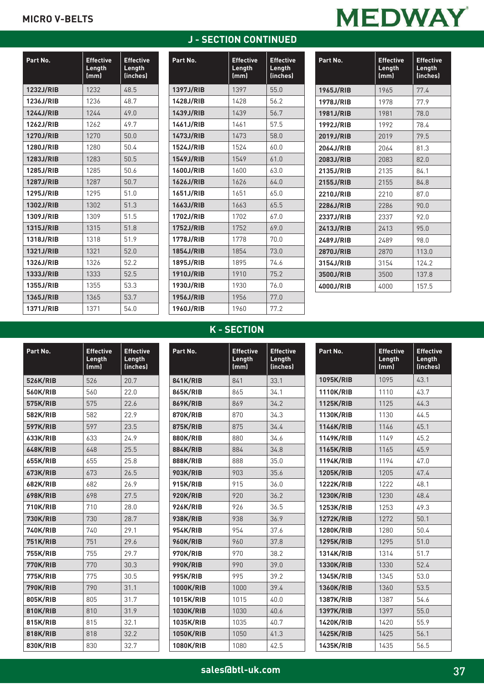### **MICRO V-BELTS**

# **MEDWAY**

| Part No.         | <b>Effective</b><br>Length<br>(mm) | <b>Effective</b><br>Length<br>(inches) |
|------------------|------------------------------------|----------------------------------------|
| 1232J/RIB        | 1232                               | 48.5                                   |
| 1236J/RIB        | 1236                               | 48.7                                   |
| 1244J/RIB        | 1244                               | 49.0                                   |
| <b>1262J/RIB</b> | 1262                               | 49.7                                   |
| <b>1270J/RIB</b> | 1270                               | 50.0                                   |
| 1280J/RIB        | 1280                               | 50.4                                   |
| 1283J/RIB        | 1283                               | 50.5                                   |
| 1285J/RIB        | 1285                               | 50.6                                   |
| <b>1287J/RIB</b> | 1287                               | 50.7                                   |
| 1295J/RIB        | 1295                               | 51.0                                   |
| 1302J/RIB        | 1302                               | 51.3                                   |
| 1309J/RIB        | 1309                               | 51.5                                   |
| 1315J/RIB        | 1315                               | 51.8                                   |
| 1318J/RIB        | 1318                               | 51.9                                   |
| 1321J/RIB        | 1321                               | 52.0                                   |
| 1326J/RIB        | 1326                               | 52.2                                   |
| 1333J/RIB        | 1333                               | 52.5                                   |
| 1355J/RIB        | 1355                               | 53.3                                   |
| 1365J/RIB        | 1365                               | 53.7                                   |
| 1371J/RIB        | 1371                               | 54.0                                   |

| Part No.         | <b>Effective</b><br>Length<br>(mm) | <b>Effective</b><br>Length<br>(inches) |
|------------------|------------------------------------|----------------------------------------|
| 1397J/RIB        | 1397                               | 55.0                                   |
| 1428J/RIB        | 1428                               | 56.2                                   |
| 1439J/RIB        | 1439                               | 56.7                                   |
| 1461J/RIB        | 1461                               | 57.5                                   |
| 1473J/RIB        | 1473                               | 58.0                                   |
| 1524J/RIB        | 1524                               | 60.0                                   |
| 1549J/RIB        | 1549                               | 61.0                                   |
| 1600J/RIB        | 1600                               | 63.0                                   |
| 1626J/RIB        | 1626                               | 64.0                                   |
| 1651J/RIB        | 1651                               | 65.0                                   |
| 1663J/RIB        | 1663                               | 65.5                                   |
| 1702J/RIB        | 1702                               | 67.0                                   |
| <b>1752J/RIB</b> | 1752                               | 69.0                                   |
| 1778J/RIB        | 1778                               | 70.0                                   |
| 1854J/RIB        | 1854                               | 73.0                                   |
| 1895J/RIB        | 1895                               | 74.6                                   |
| 1910J/RIB        | 1910                               | 75.2                                   |
| 1930J/RIB        | 1930                               | 76.0                                   |
| 1956J/RIB        | 1956                               | 77.0                                   |
| 1960J/RIB        | 1960                               | 77.2                                   |

**J - SECTION CONTINUED**

| Part No.  | <b>Effective</b><br>Length<br>(mm) | <b>Effective</b><br>Length<br>(inches) |
|-----------|------------------------------------|----------------------------------------|
| 1965J/RIB | 1965                               | 77.4                                   |
| 1978J/RIB | 1978                               | 77.9                                   |
| 1981J/RIB | 1981                               | 78.0                                   |
| 1992J/RIB | 1992                               | 78.4                                   |
| 2019J/RIB | 2019                               | 79.5                                   |
| 2064J/RIB | 2064                               | 81.3                                   |
| 2083J/RIB | 2083                               | 82.0                                   |
| 2135J/RIB | 2135                               | 84.1                                   |
| 2155J/RIB | 2155                               | 84.8                                   |
| 2210J/RIB | 2210                               | 87.0                                   |
| 2286J/RIB | 2286                               | 90.0                                   |
| 2337J/RIB | 2337                               | 92.0                                   |
| 2413J/RIB | 2413                               | 95.0                                   |
| 2489J/RIB | 2489                               | 98.0                                   |
| 2870J/RIB | 2870                               | 113.0                                  |
| 3154J/RIB | 3154                               | 124.2                                  |
| 3500J/RIB | 3500                               | 137.8                                  |
| 4000J/RIB | 4000                               | 157.5                                  |

### **K - SECTION**

| Part No.        | <b>Effective</b><br>Length<br>(mm) | <b>Effective</b><br>Length<br>(inches) | Part No.         | <b>Effective</b><br>Length<br>(mm) | <b>Effective</b><br>Length<br>(inches) | Part No. |                  | <b>Effective</b><br>Length<br>(mm) | <b>Effective</b><br>Length<br>(inches) |
|-----------------|------------------------------------|----------------------------------------|------------------|------------------------------------|----------------------------------------|----------|------------------|------------------------------------|----------------------------------------|
| 526K/RIB        | 526                                | 20.7                                   | <b>841K/RIB</b>  | 841                                | 33.1                                   |          | 1095K/RIB        | 1095                               | 43.1                                   |
| 560K/RIB        | 560                                | 22.0                                   | 865K/RIB         | 865                                | 34.1                                   |          | <b>1110K/RIB</b> | 1110                               | 43.7                                   |
| 575K/RIB        | 575                                | 22.6                                   | <b>869K/RIB</b>  | 869                                | 34.2                                   |          | <b>1125K/RIB</b> | 1125                               | 44.3                                   |
| 582K/RIB        | 582                                | 22.9                                   | <b>870K/RIB</b>  | 870                                | 34.3                                   |          | <b>1130K/RIB</b> | 1130                               | 44.5                                   |
| <b>597K/RIB</b> | 597                                | 23.5                                   | <b>875K/RIB</b>  | 875                                | 34.4                                   |          | <b>1146K/RIB</b> | 1146                               | 45.1                                   |
| 633K/RIB        | 633                                | 24.9                                   | 880K/RIB         | 880                                | 34.6                                   |          | 1149K/RIB        | 1149                               | 45.2                                   |
| <b>648K/RIB</b> | 648                                | 25.5                                   | <b>884K/RIB</b>  | 884                                | 34.8                                   |          | <b>1165K/RIB</b> | 1165                               | 45.9                                   |
| <b>655K/RIB</b> | 655                                | 25.8                                   | <b>888K/RIB</b>  | 888                                | 35.0                                   |          | <b>1194K/RIB</b> | 1194                               | 47.0                                   |
| 673K/RIB        | 673                                | 26.5                                   | <b>903K/RIB</b>  | 903                                | 35.6                                   |          | <b>1205K/RIB</b> | 1205                               | 47.4                                   |
| <b>682K/RIB</b> | 682                                | 26.9                                   | 915K/RIB         | 915                                | 36.0                                   |          | <b>1222K/RIB</b> | 1222                               | 48.1                                   |
| <b>698K/RIB</b> | 698                                | 27.5                                   | <b>920K/RIB</b>  | 920                                | 36.2                                   |          | <b>1230K/RIB</b> | 1230                               | 48.4                                   |
| <b>710K/RIB</b> | 710                                | 28.0                                   | <b>926K/RIB</b>  | 926                                | 36.5                                   |          | <b>1253K/RIB</b> | 1253                               | 49.3                                   |
| <b>730K/RIB</b> | 730                                | 28.7                                   | <b>938K/RIB</b>  | 938                                | 36.9                                   |          | <b>1272K/RIB</b> | 1272                               | 50.1                                   |
| <b>740K/RIB</b> | 740                                | 29.1                                   | 954K/RIB         | 954                                | 37.6                                   |          | <b>1280K/RIB</b> | 1280                               | 50.4                                   |
| <b>751K/RIB</b> | 751                                | 29.6                                   | <b>960K/RIB</b>  | 960                                | 37.8                                   |          | <b>1295K/RIB</b> | 1295                               | 51.0                                   |
| <b>755K/RIB</b> | 755                                | 29.7                                   | <b>970K/RIB</b>  | 970                                | 38.2                                   |          | 1314K/RIB        | 1314                               | 51.7                                   |
| <b>770K/RIB</b> | 770                                | 30.3                                   | <b>990K/RIB</b>  | 990                                | 39.0                                   |          | <b>1330K/RIB</b> | 1330                               | 52.4                                   |
| <b>775K/RIB</b> | 775                                | 30.5                                   | <b>995K/RIB</b>  | 995                                | 39.2                                   |          | 1345K/RIB        | 1345                               | 53.0                                   |
| <b>790K/RIB</b> | 790                                | 31.1                                   | <b>1000K/RIB</b> | 1000                               | 39.4                                   |          | <b>1360K/RIB</b> | 1360                               | 53.5                                   |
| 805K/RIB        | 805                                | 31.7                                   | 1015K/RIB        | 1015                               | 40.0                                   |          | <b>1387K/RIB</b> | 1387                               | 54.6                                   |
| <b>810K/RIB</b> | 810                                | 31.9                                   | <b>1030K/RIB</b> | 1030                               | 40.6                                   |          | <b>1397K/RIB</b> | 1397                               | 55.0                                   |
| 815K/RIB        | 815                                | 32.1                                   | 1035K/RIB        | 1035                               | 40.7                                   |          | <b>1420K/RIB</b> | 1420                               | 55.9                                   |
| <b>818K/RIB</b> | 818                                | 32.2                                   | <b>1050K/RIB</b> | 1050                               | 41.3                                   |          | <b>1425K/RIB</b> | 1425                               | 56.1                                   |
| 830K/RIB        | 830                                | 32.7                                   | <b>1080K/RIB</b> | 1080                               | 42.5                                   |          | <b>1435K/RIB</b> | 1435                               | 56.5                                   |

Ξ

Ξ

Ξ

π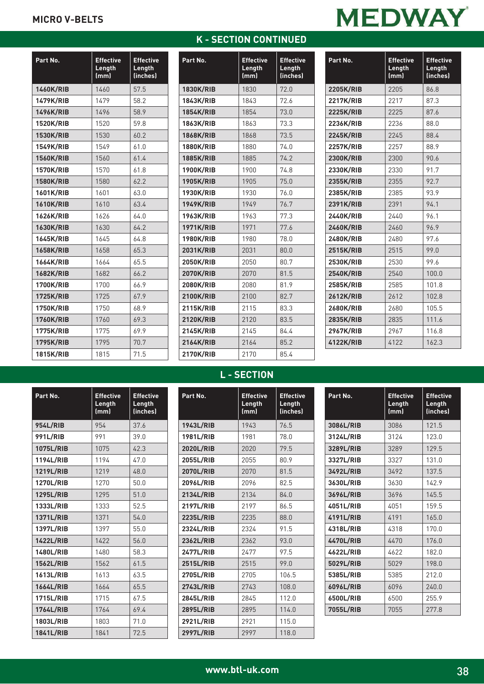### **MICRO V-BELTS**

| Part No.         | <b>Effective</b><br>Length<br>(mm) | <b>Effective</b><br>Length<br>(inches) |
|------------------|------------------------------------|----------------------------------------|
| <b>1460K/RIB</b> | 1460                               | 57.5                                   |
| <b>1479K/RIB</b> | 1479                               | 58.2                                   |
| 1496K/RIB        | 1496                               | 58.9                                   |
| <b>1520K/RIB</b> | 1520                               | 59.8                                   |
| <b>1530K/RIB</b> | 1530                               | 60.2                                   |
| 1549K/RIB        | 1549                               | 61.0                                   |
| <b>1560K/RIB</b> | 1560                               | 61.4                                   |
| <b>1570K/RIB</b> | 1570                               | 61.8                                   |
| <b>1580K/RIB</b> | 1580                               | 62.2                                   |
| 1601K/RIB        | 1601                               | 63.0                                   |
| <b>1610K/RIB</b> | 1610                               | 63.4                                   |
| 1626K/RIB        | 1626                               | 64.0                                   |
| <b>1630K/RIB</b> | 1630                               | 64.2                                   |
| <b>1645K/RIB</b> | 1645                               | 64.8                                   |
| <b>1658K/RIB</b> | 1658                               | 65.3                                   |
| <b>1664K/RIB</b> | 1664                               | 65.5                                   |
| <b>1682K/RIB</b> | 1682                               | 66.2                                   |
| <b>1700K/RIB</b> | 1700                               | 66.9                                   |
| <b>1725K/RIB</b> | 1725                               | 67.9                                   |
| <b>1750K/RIB</b> | 1750                               | 68.9                                   |
| <b>1760K/RIB</b> | 1760                               | 69.3                                   |
| 1775K/RIB        | 1775                               | 69.9                                   |
| <b>1795K/RIB</b> | 1795                               | 70.7                                   |
| <b>1815K/RIB</b> | 1815                               | 71.5                                   |

## **K - SECTION CONTINUED**

| <b>Effective</b><br>Length<br>(mm) | <b>Effective</b><br>Length<br>(inches) |
|------------------------------------|----------------------------------------|
| 1830                               | 72.0                                   |
| 1843                               | 72.6                                   |
| 1854                               | 73.0                                   |
| 1863                               | 73.3                                   |
| 1868                               | 73.5                                   |
| 1880                               | 74.0                                   |
| 1885                               | 74.2                                   |
| 1900                               | 74.8                                   |
| 1905                               | 75.0                                   |
| 1930                               | 76.0                                   |
| 1949                               | 76.7                                   |
| 1963                               | 77.3                                   |
| 1971                               | 77.6                                   |
| 1980                               | 78.0                                   |
| 2031                               | 80.0                                   |
| 2050                               | 80.7                                   |
| 2070                               | 81.5                                   |
| 2080                               | 81.9                                   |
| 2100                               | 82.7                                   |
| 2115                               | 83.3                                   |
| 2120                               | 83.5                                   |
| 2145                               | 84.4                                   |
| 2164                               | 85.2                                   |
| 2170                               | 85.4                                   |
|                                    |                                        |

| <b>MEDWAY</b> |  |
|---------------|--|
|               |  |

| Part No.         | <b>Effective</b><br>Length<br>(mm) | <b>Effective</b><br>Length<br>(inches) |
|------------------|------------------------------------|----------------------------------------|
| <b>2205K/RIB</b> | 2205                               | 86.8                                   |
| 2217K/RIB        | 2217                               | 87.3                                   |
| <b>2225K/RIB</b> | 2225                               | 87.6                                   |
| 2236K/RIB        | 2236                               | 88.0                                   |
| <b>2245K/RIB</b> | 2245                               | 88.4                                   |
| <b>2257K/RIB</b> | 2257                               | 88.9                                   |
| 2300K/RIB        | 2300                               | 90.6                                   |
| 2330K/RIB        | 2330                               | 91.7                                   |
| 2355K/RIB        | 2355                               | 92.7                                   |
| 2385K/RIB        | 2385                               | 93.9                                   |
| 2391K/RIB        | 2391                               | 94.1                                   |
| 2440K/RIB        | 2440                               | 96.1                                   |
| 2460K/RIB        | 2460                               | 96.9                                   |
| 2480K/RIB        | 2480                               | 97.6                                   |
| <b>2515K/RIB</b> | 2515                               | 99.0                                   |
| 2530K/RIB        | 2530                               | 99.6                                   |
| <b>2540K/RIB</b> | 2540                               | 100.0                                  |
| 2585K/RIB        | 2585                               | 101.8                                  |
| <b>2612K/RIB</b> | 2612                               | 102.8                                  |
| 2680K/RIB        | 2680                               | 105.5                                  |
| 2835K/RIB        | 2835                               | 111.6                                  |
| <b>2967K/RIB</b> | 2967                               | 116.8                                  |
| 4122K/RIB        | 4122                               | 162.3                                  |

## **L - SECTION**

| Part No.         | <b>Effective</b><br>Length<br>(mm) | <b>Effective</b><br>Length<br>(inches) |
|------------------|------------------------------------|----------------------------------------|
| <b>954L/RIB</b>  | 954                                | 37.6                                   |
| <b>991L/RIB</b>  | 991                                | 39.0                                   |
| 1075L/RIB        | 1075                               | 42.3                                   |
| 1194L/RIB        | 1194                               | 47.0                                   |
| 1219L/RIB        | 1219                               | 48.0                                   |
| 1270L/RIB        | 1270                               | 50.0                                   |
| 1295L/RIB        | 1295                               | 51.0                                   |
| 1333L/RIB        | 1333                               | 52.5                                   |
| 1371L/RIB        | 1371                               | 54.0                                   |
| 1397L/RIB        | 1397                               | 55.0                                   |
| <b>1422L/RIB</b> | 1422                               | 56.0                                   |
| 1480L/RIB        | 1480                               | 58.3                                   |
| 1562L/RIB        | 1562                               | 61.5                                   |
| 1613L/RIB        | 1613                               | 63.5                                   |
| <b>1664L/RIB</b> | 1664                               | 65.5                                   |
| 1715L/RIB        | 1715                               | 67.5                                   |
| <b>1764L/RIB</b> | 1764                               | 69.4                                   |
| 1803L/RIB        | 1803                               | 71.0                                   |
| <b>1841L/RIB</b> | 1841                               | 72.5                                   |

| Part No.         | <b>Effective</b><br>Length<br>(mm) | <b>Effective</b><br>Length<br>(inches) |
|------------------|------------------------------------|----------------------------------------|
| 1943L/RIB        | 1943                               | 76.5                                   |
| 1981L/RIB        | 1981                               | 78.0                                   |
| 2020L/RIB        | 2020                               | 79.5                                   |
| 2055L/RIB        | 2055                               | 80.9                                   |
| 2070L/RIB        | 2070                               | 81.5                                   |
| 2096L/RIB        | 2096                               | 82.5                                   |
| 2134L/RIB        | 2134                               | 84.0                                   |
| 2197L/RIB        | 2197                               | 86.5                                   |
| 2235L/RIB        | 2235                               | 88.0                                   |
| 2324L/RIB        | 2324                               | 91.5                                   |
| 2362L/RIB        | 2362                               | 93.0                                   |
| 2477L/RIB        | 2477                               | 97.5                                   |
| 2515L/RIB        | 2515                               | 99.0                                   |
| 2705L/RIB        | 2705                               | 106.5                                  |
| 2743L/RIB        | 2743                               | 108.0                                  |
| 2845L/RIB        | 2845                               | 112.0                                  |
| 2895L/RIB        | 2895                               | 114.0                                  |
| 2921L/RIB        | 2921                               | 115.0                                  |
| <b>2997L/RIB</b> | 2997                               | 118.0                                  |

| Part No.  | <b>Effective</b><br>Length<br>(mm) | <b>Effective</b><br>Length<br>(inches) |
|-----------|------------------------------------|----------------------------------------|
| 3086L/RIB | 3086                               | 121.5                                  |
| 3124L/RIB | 3124                               | 123.0                                  |
| 3289L/RIB | 3289                               | 129.5                                  |
| 3327L/RIB | 3327                               | 131.0                                  |
| 3492L/RIB | 3492                               | 137.5                                  |
| 3630L/RIB | 3630                               | 142.9                                  |
| 3696L/RIB | 3696                               | 145.5                                  |
| 4051L/RIB | 4051                               | 159.5                                  |
| 4191L/RIB | 4191                               | 165.0                                  |
| 4318L/RIB | 4318                               | 170.0                                  |
| 4470L/RIB | 4470                               | 176.0                                  |
| 4622L/RIB | 4622                               | 182.0                                  |
| 5029L/RIB | 5029                               | 198.0                                  |
| 5385L/RIB | 5385                               | 212.0                                  |
| 6096L/RIB | 6096                               | 240.0                                  |
| 6500L/RIB | 6500                               | 255.9                                  |
| 7055L/RIB | 7055                               | 277.8                                  |